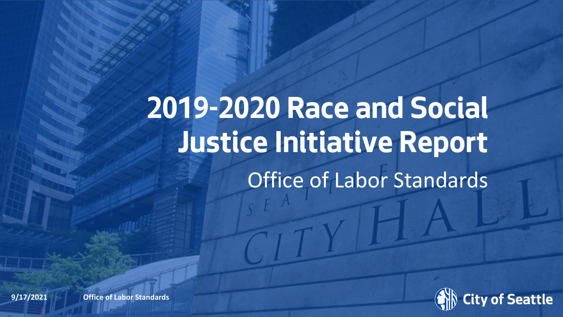# **2019-2020 Race and Social Justice Initiative Report** Office of Labor Standards



**9/17/2021 Data (2x)** Office of Labor Standards **Office of Labor Standards**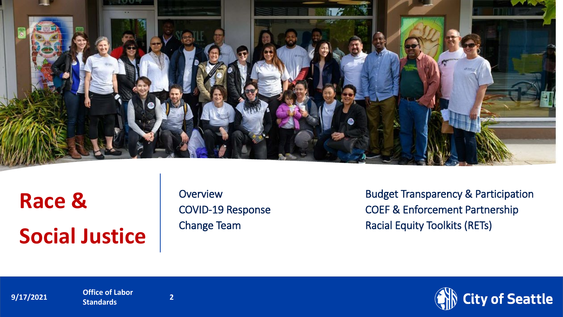

# **Race & Social Justice**

**Overview** COVID-19 Response Change Team

Budget Transparency & Participation COEF & Enforcement Partnership Racial Equity Toolkits (RETs)

**9/17/2021 Department Office of Labor 2** 

**Standards <sup>2</sup>**

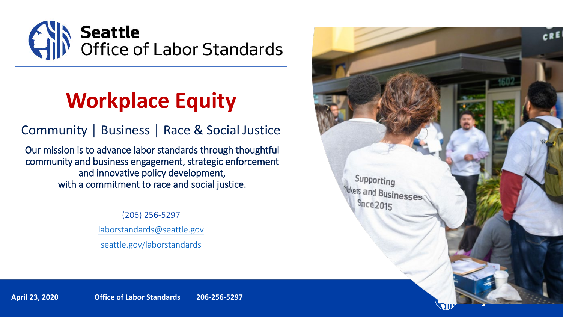

### **Workplace Equity**

Community │ Business │ Race & Social Justice

Our mission is to advance labor standards through thoughtful community and business engagement, strategic enforcement and innovative policy development, with a commitment to race and social justice.

> (206) 256-5297 [laborstandards@seattle.gov](mailto:laborstandards@seattle.gov) [seattle.gov/laborstandards](http://www.seattle.gov/laborstandards)



**April 23, 2020 Office of Labor Standards 206-256-5297**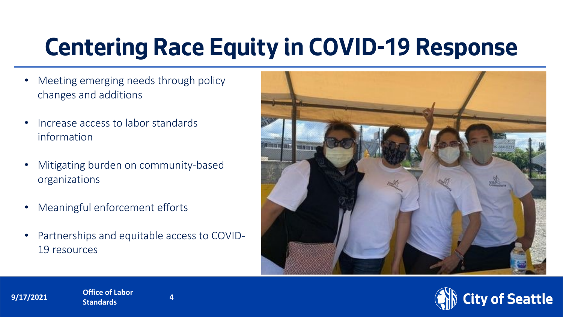# **Centering Race Equity in COVID-19 Response**

- Meeting emerging needs through policy changes and additions
- Increase access to labor standards information
- Mitigating burden on community-based organizations
- Meaningful enforcement efforts

**Standards <sup>4</sup>**

**9/17/2021 Office of Labor Department Name Page 1** 

• Partnerships and equitable access to COVID-19 resources



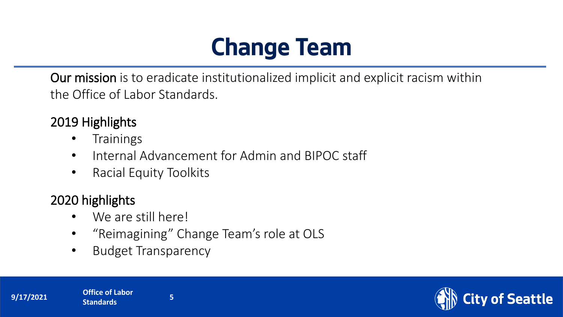# **Change Team**

Our mission is to eradicate institutionalized implicit and explicit racism within the Office of Labor Standards.

### 2019 Highlights

- Trainings
- Internal Advancement for Admin and BIPOC staff
- Racial Equity Toolkits

#### 2020 highlights

- We are still here!
- "Reimagining" Change Team's role at OLS
- Budget Transparency



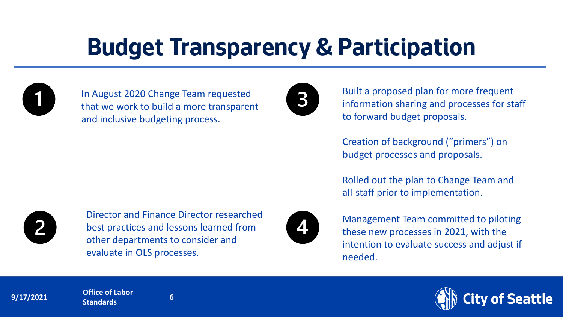# **Budget Transparency & Participation**



In August 2020 Change Team requested that we work to build a more transparent and inclusive budgeting process.



Built a proposed plan for more frequent information sharing and processes for staff to forward budget proposals.

Creation of background ("primers") on budget processes and proposals.

Rolled out the plan to Change Team and all-staff prior to implementation.



Management Team committed to piloting these new processes in 2021, with the intention to evaluate success and adjust if needed.



Director and Finance Director researched best practices and lessons learned from other departments to consider and evaluate in OLS processes.

of Seattle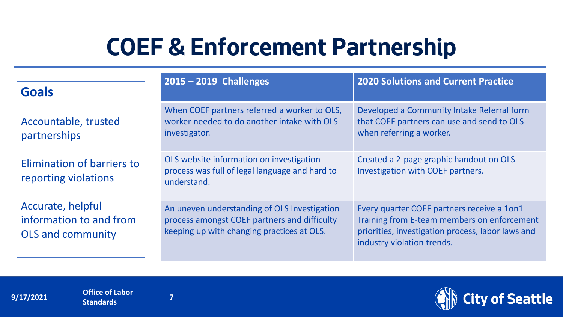# **COEF & Enforcement Partnership**

| <b>Goals</b>                                                             | $2015 - 2019$ Challenges                                                                                                                   | <b>2020 Solutions and Current Practice</b>                                                                                                                                   |
|--------------------------------------------------------------------------|--------------------------------------------------------------------------------------------------------------------------------------------|------------------------------------------------------------------------------------------------------------------------------------------------------------------------------|
| Accountable, trusted<br>partnerships                                     | When COEF partners referred a worker to OLS,<br>worker needed to do another intake with OLS<br>investigator.                               | Developed a Community Intake Referral form<br>that COEF partners can use and send to OLS<br>when referring a worker.                                                         |
| Elimination of barriers to<br>reporting violations                       | OLS website information on investigation<br>process was full of legal language and hard to<br>understand.                                  | Created a 2-page graphic handout on OLS<br>Investigation with COEF partners.                                                                                                 |
| Accurate, helpful<br>information to and from<br><b>OLS and community</b> | An uneven understanding of OLS Investigation<br>process amongst COEF partners and difficulty<br>keeping up with changing practices at OLS. | Every quarter COEF partners receive a 1on1<br>Training from E-team members on enforcement<br>priorities, investigation process, labor laws and<br>industry violation trends. |

**9/17/2021 Department Office of Labor Department 1 Standards <sup>7</sup>**



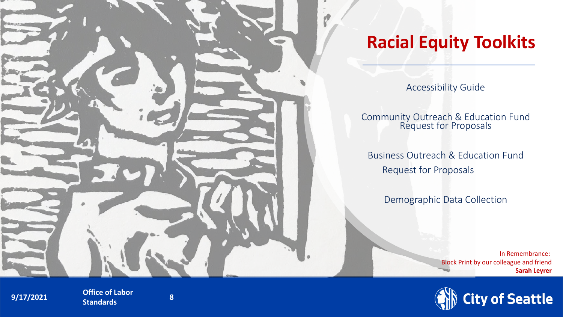

### **Racial Equity Toolkits**

Accessibility Guide

Community Outreach & Education Fund Request for Proposals

Business Outreach & Education Fund Request for Proposals

Demographic Data Collection

In Remembrance: Block Print by our colleague and friend **Sarah Leyrer**



**9/17/2021 Department Office of Labor 0. 8 Standards <sup>8</sup>**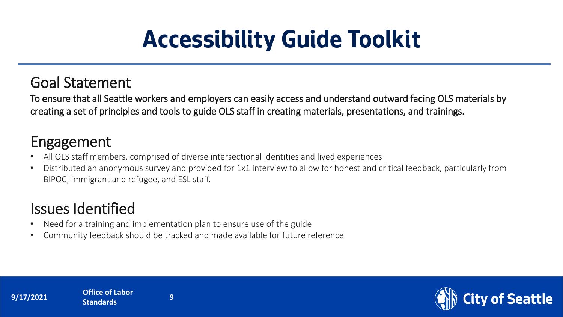# **Accessibility Guide Toolkit**

### Goal Statement

To ensure that all Seattle workers and employers can easily access and understand outward facing OLS materials by creating a set of principles and tools to guide OLS staff in creating materials, presentations, and trainings.

### Engagement

- All OLS staff members, comprised of diverse intersectional identities and lived experiences
- Distributed an anonymous survey and provided for 1x1 interview to allow for honest and critical feedback, particularly from BIPOC, immigrant and refugee, and ESL staff.

### Issues Identified

- Need for a training and implementation plan to ensure use of the guide
- Community feedback should be tracked and made available for future reference





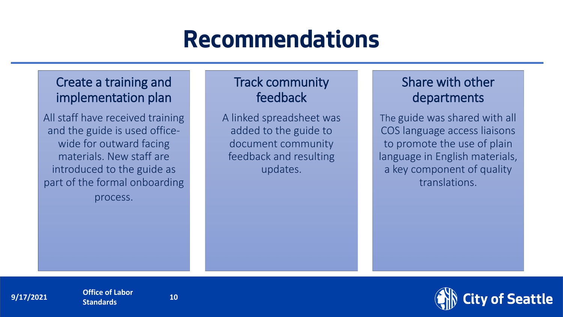#### Create a training and implementation plan

All staff have received training and the guide is used officewide for outward facing materials. New staff are introduced to the guide as part of the formal onboarding

process.

#### Track community feedback

A linked spreadsheet was added to the guide to document community feedback and resulting updates.

#### Share with other departments

The guide was shared with all COS language access liaisons to promote the use of plain language in English materials, a key component of quality translations.



**9/17/2021 Department Office of Labor 10** 

**Standards**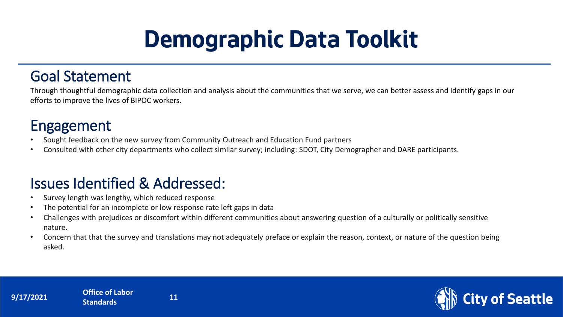# **Demographic Data Toolkit**

#### Goal Statement

Through thoughtful demographic data collection and analysis about the communities that we serve, we can better assess and identify gaps in our efforts to improve the lives of BIPOC workers.

### Engagement

- Sought feedback on the new survey from Community Outreach and Education Fund partners
- Consulted with other city departments who collect similar survey; including: SDOT, City Demographer and DARE participants.

### Issues Identified & Addressed:

- Survey length was lengthy, which reduced response
- The potential for an incomplete or low response rate left gaps in data
- Challenges with prejudices or discomfort within different communities about answering question of a culturally or politically sensitive nature.
- Concern that that the survey and translations may not adequately preface or explain the reason, context, or nature of the question being asked.



**9/17/2021 Department Office of Labor 11 Standards** 

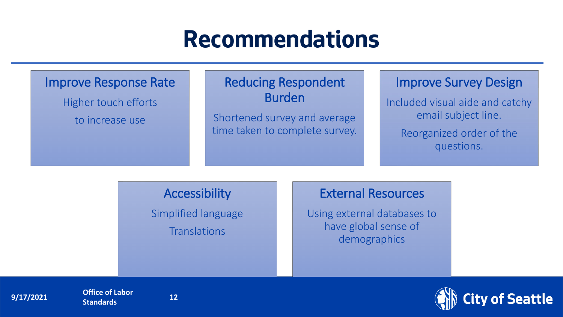#### Improve Response Rate

Higher touch efforts

to increase use

#### Reducing Respondent Burden

Shortened survey and average time taken to complete survey.

#### Improve Survey Design

Included visual aide and catchy email subject line. Reorganized order of the questions.

#### Accessibility

Simplified language **Translations** 

#### External Resources

Using external databases to have global sense of demographics



**9/17/2021 Department Office of Labor 12 Standards** 

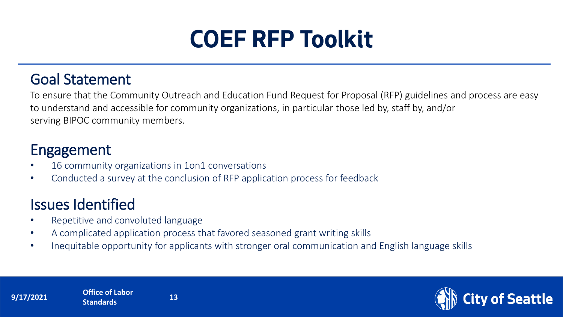# **COEF RFP Toolkit**

#### Goal Statement

To ensure that the Community Outreach and Education Fund Request for Proposal (RFP) guidelines and process are easy to understand and accessible for community organizations, in particular those led by, staff by, and/or serving BIPOC community members.

#### Engagement

- 16 community organizations in 1on1 conversations
- Conducted a survey at the conclusion of RFP application process for feedback

### Issues Identified

- Repetitive and convoluted language
- A complicated application process that favored seasoned grant writing skills
- Inequitable opportunity for applicants with stronger oral communication and English language skills

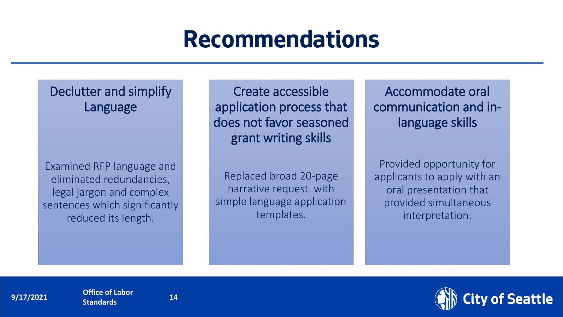Declutter and simplify Language

Examined RFP language and eliminated redundancies, legal jargon and complex sentences which significantly reduced its length.

Create accessible application process that does not favor seasoned grant writing skills

Replaced broad 20-page narrative request with simple language application templates.

Accommodate oral communication and inlanguage skills

Provided opportunity for applicants to apply with an oral presentation that provided simultaneous interpretation.



**9/17/2021 Department Office of Labor 14 Standards** 



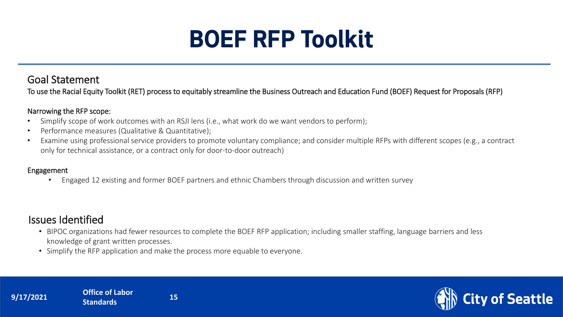# **BOEF RFP Toolkit**

#### Goal Statement

To use the Racial Equity Toolkit (RET) process to equitably streamline the Business Outreach and Education Fund (BOEF) Request for Proposals (RFP)

#### Narrowing the RFP scope:

- Simplify scope of work outcomes with an RSJI lens (i.e., what work do we want vendors to perform);
- Performance measures (Qualitative & Quantitative);
- Examine using professional service providers to promote voluntary compliance; and consider multiple RFPs with different scopes (e.g., a contract only for technical assistance, or a contract only for door-to-door outreach)

#### Engagement

• Engaged 12 existing and former BOEF partners and ethnic Chambers through discussion and written survey

#### Issues Identified

- BIPOC organizations had fewer resources to complete the BOEF RFP application; including smaller staffing, language barriers and less knowledge of grant written processes.
- Simplify the RFP application and make the process more equable to everyone.



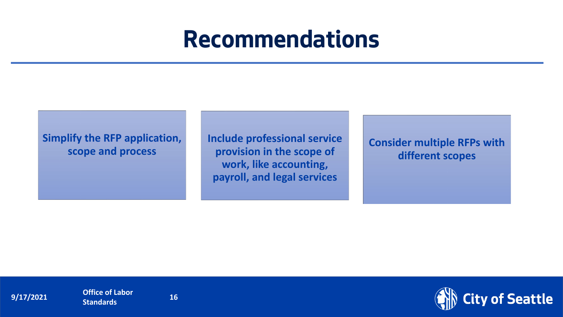**Simplify the RFP application, scope and process**

**Include professional service provision in the scope of work, like accounting, payroll, and legal services**

**Consider multiple RFPs with different scopes** 

**9/17/2021 Office of Labor 16 Standards <sup>16</sup>**

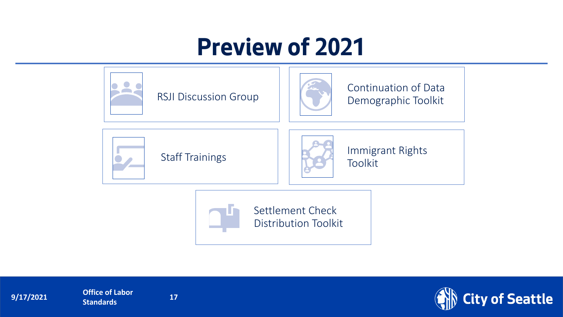# **Preview of 2021**





**9/17/2021 Office of Labor 17 Standards <sup>17</sup>**